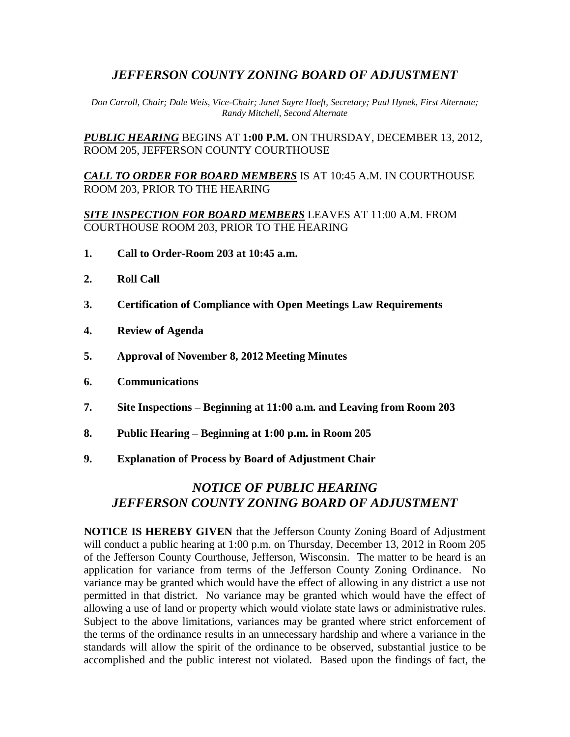## *JEFFERSON COUNTY ZONING BOARD OF ADJUSTMENT*

*Don Carroll, Chair; Dale Weis, Vice-Chair; Janet Sayre Hoeft, Secretary; Paul Hynek, First Alternate; Randy Mitchell, Second Alternate*

*PUBLIC HEARING* BEGINS AT **1:00 P.M.** ON THURSDAY, DECEMBER 13, 2012, ROOM 205, JEFFERSON COUNTY COURTHOUSE

*CALL TO ORDER FOR BOARD MEMBERS* IS AT 10:45 A.M. IN COURTHOUSE ROOM 203, PRIOR TO THE HEARING

*SITE INSPECTION FOR BOARD MEMBERS* LEAVES AT 11:00 A.M. FROM COURTHOUSE ROOM 203, PRIOR TO THE HEARING

- **1. Call to Order-Room 203 at 10:45 a.m.**
- **2. Roll Call**
- **3. Certification of Compliance with Open Meetings Law Requirements**
- **4. Review of Agenda**
- **5. Approval of November 8, 2012 Meeting Minutes**
- **6. Communications**
- **7. Site Inspections – Beginning at 11:00 a.m. and Leaving from Room 203**
- **8. Public Hearing – Beginning at 1:00 p.m. in Room 205**
- **9. Explanation of Process by Board of Adjustment Chair**

# *NOTICE OF PUBLIC HEARING JEFFERSON COUNTY ZONING BOARD OF ADJUSTMENT*

**NOTICE IS HEREBY GIVEN** that the Jefferson County Zoning Board of Adjustment will conduct a public hearing at 1:00 p.m. on Thursday, December 13, 2012 in Room 205 of the Jefferson County Courthouse, Jefferson, Wisconsin. The matter to be heard is an application for variance from terms of the Jefferson County Zoning Ordinance. No variance may be granted which would have the effect of allowing in any district a use not permitted in that district. No variance may be granted which would have the effect of allowing a use of land or property which would violate state laws or administrative rules. Subject to the above limitations, variances may be granted where strict enforcement of the terms of the ordinance results in an unnecessary hardship and where a variance in the standards will allow the spirit of the ordinance to be observed, substantial justice to be accomplished and the public interest not violated. Based upon the findings of fact, the